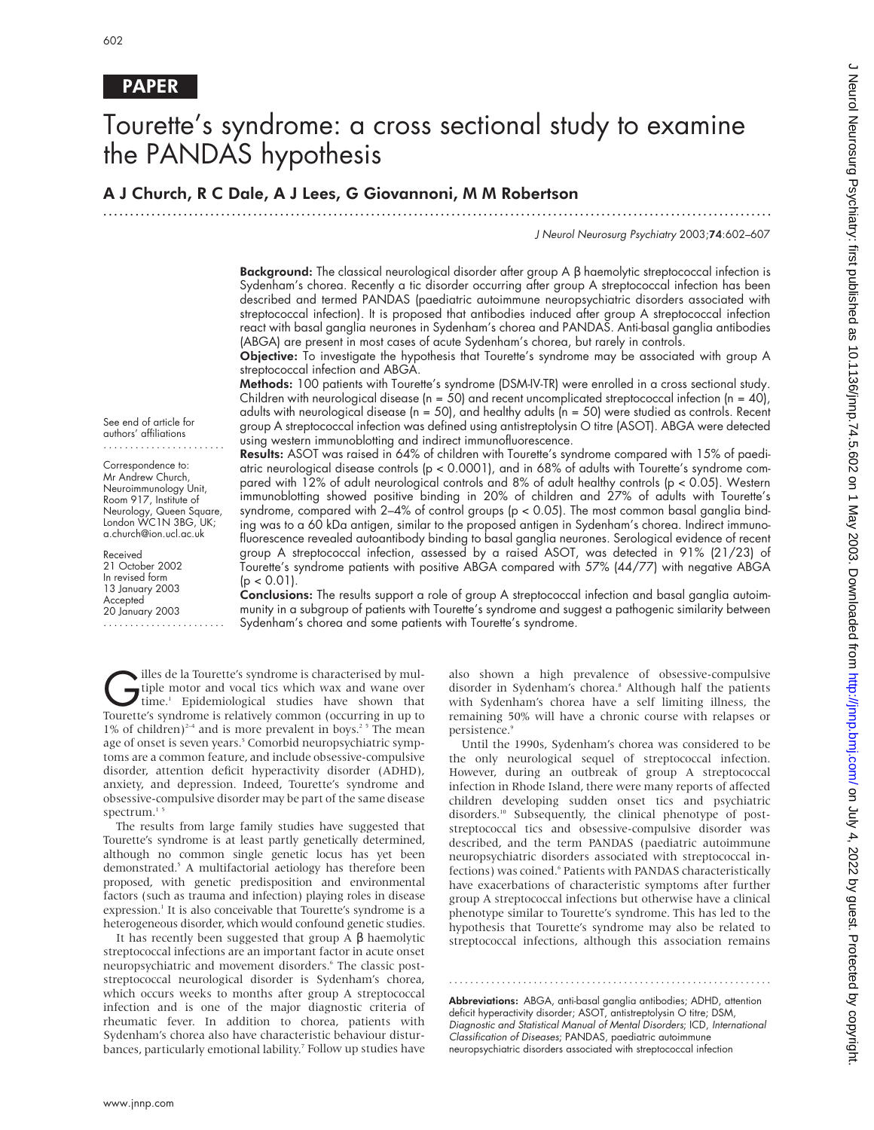## PAPER

## Tourette's syndrome: a cross sectional study to examine the PANDAS hypothesis

## A J Church, R C Dale, A J Lees, G Giovannoni, M M Robertson

.............................................................................................................................

J Neurol Neurosurg Psychiatry 2003;74:602–607

**Background:** The classical neurological disorder after group  $\text{A}$  β haemolytic streptococcal infection is Sydenham's chorea. Recently a tic disorder occurring after group A streptococcal infection has been described and termed PANDAS (paediatric autoimmune neuropsychiatric disorders associated with streptococcal infection). It is proposed that antibodies induced after group A streptococcal infection react with basal ganglia neurones in Sydenham's chorea and PANDAS. Anti-basal ganglia antibodies (ABGA) are present in most cases of acute Sydenham's chorea, but rarely in controls.

Objective: To investigate the hypothesis that Tourette's syndrome may be associated with group A streptococcal infection and ABGA.

Methods: 100 patients with Tourette's syndrome (DSM-IV-TR) were enrolled in a cross sectional study. Children with neurological disease ( $n = 50$ ) and recent uncomplicated streptococcal infection ( $n = 40$ ), adults with neurological disease ( $n = 50$ ), and healthy adults ( $n = 50$ ) were studied as controls. Recent group A streptococcal infection was defined using antistreptolysin O titre (ASOT). ABGA were detected using western immunoblotting and indirect immunofluorescence.

See end of article for authors' affiliations

Correspondence to: Mr Andrew Church, Neuroimmunology Unit, Room 917, Institute of Neurology, Queen Square, London WC1N 3BG, UK; a.church@ion.ucl.ac.uk

Received 21 October 2002 In revised form 13 January 2003 Accepted 20 January 2003 .......................

Results: ASOT was raised in 64% of children with Tourette's syndrome compared with 15% of paediatric neurological disease controls (p < 0.0001), and in 68% of adults with Tourette's syndrome compared with 12% of adult neurological controls and 8% of adult healthy controls (p < 0.05). Western immunoblotting showed positive binding in 20% of children and 27% of adults with Tourette's syndrome, compared with 2–4% of control groups (p < 0.05). The most common basal ganglia binding was to a 60 kDa antigen, similar to the proposed antigen in Sydenham's chorea. Indirect immunofluorescence revealed autoantibody binding to basal ganglia neurones. Serological evidence of recent group A streptococcal infection, assessed by a raised ASOT, was detected in 91% (21/23) of Tourette's syndrome patients with positive ABGA compared with 57% (44/77) with negative ABGA  $(p < 0.01)$ .

Conclusions: The results support a role of group A streptococcal infection and basal ganglia autoimmunity in a subgroup of patients with Tourette's syndrome and suggest a pathogenic similarity between Sydenham's chorea and some patients with Tourette's syndrome.

dilles de la Tourette's syndrome is characterised by multiple motor and vocal tics which wax and wane over<br>time.<sup>1</sup> Epidemiological studies have shown that<br>Tourette's syndrome is relatively common (occurring in un to tiple motor and vocal tics which wax and wane over time.<sup>1</sup> Epidemiological studies have shown that Tourette's syndrome is relatively common (occurring in up to 1% of children)<sup>2-4</sup> and is more prevalent in boys.<sup>25</sup> The mean age of onset is seven years.<sup>5</sup> Comorbid neuropsychiatric symptoms are a common feature, and include obsessive-compulsive disorder, attention deficit hyperactivity disorder (ADHD), anxiety, and depression. Indeed, Tourette's syndrome and obsessive-compulsive disorder may be part of the same disease  $spectrum<sup>1</sup>$ 

The results from large family studies have suggested that Tourette's syndrome is at least partly genetically determined, although no common single genetic locus has yet been demonstrated.<sup>5</sup> A multifactorial aetiology has therefore been proposed, with genetic predisposition and environmental factors (such as trauma and infection) playing roles in disease expression.<sup>1</sup> It is also conceivable that Tourette's syndrome is a heterogeneous disorder, which would confound genetic studies.

It has recently been suggested that group A β haemolytic streptococcal infections are an important factor in acute onset neuropsychiatric and movement disorders.6 The classic poststreptococcal neurological disorder is Sydenham's chorea, which occurs weeks to months after group A streptococcal infection and is one of the major diagnostic criteria of rheumatic fever. In addition to chorea, patients with Sydenham's chorea also have characteristic behaviour disturbances, particularly emotional lability.<sup>7</sup> Follow up studies have

also shown a high prevalence of obsessive-compulsive disorder in Sydenham's chorea.<sup>8</sup> Although half the patients with Sydenham's chorea have a self limiting illness, the remaining 50% will have a chronic course with relapses or persistence.9

Until the 1990s, Sydenham's chorea was considered to be the only neurological sequel of streptococcal infection. However, during an outbreak of group A streptococcal infection in Rhode Island, there were many reports of affected children developing sudden onset tics and psychiatric disorders.<sup>10</sup> Subsequently, the clinical phenotype of poststreptococcal tics and obsessive-compulsive disorder was described, and the term PANDAS (paediatric autoimmune neuropsychiatric disorders associated with streptococcal infections) was coined.<sup>6</sup> Patients with PANDAS characteristically have exacerbations of characteristic symptoms after further group A streptococcal infections but otherwise have a clinical phenotype similar to Tourette's syndrome. This has led to the hypothesis that Tourette's syndrome may also be related to streptococcal infections, although this association remains

Abbreviations: ABGA, anti-basal ganglia antibodies; ADHD, attention deficit hyperactivity disorder; ASOT, antistreptolysin O titre; DSM, Diagnostic and Statistical Manual of Mental Disorders; ICD, International Classification of Diseases; PANDAS, paediatric autoimmune neuropsychiatric disorders associated with streptococcal infection

.............................................................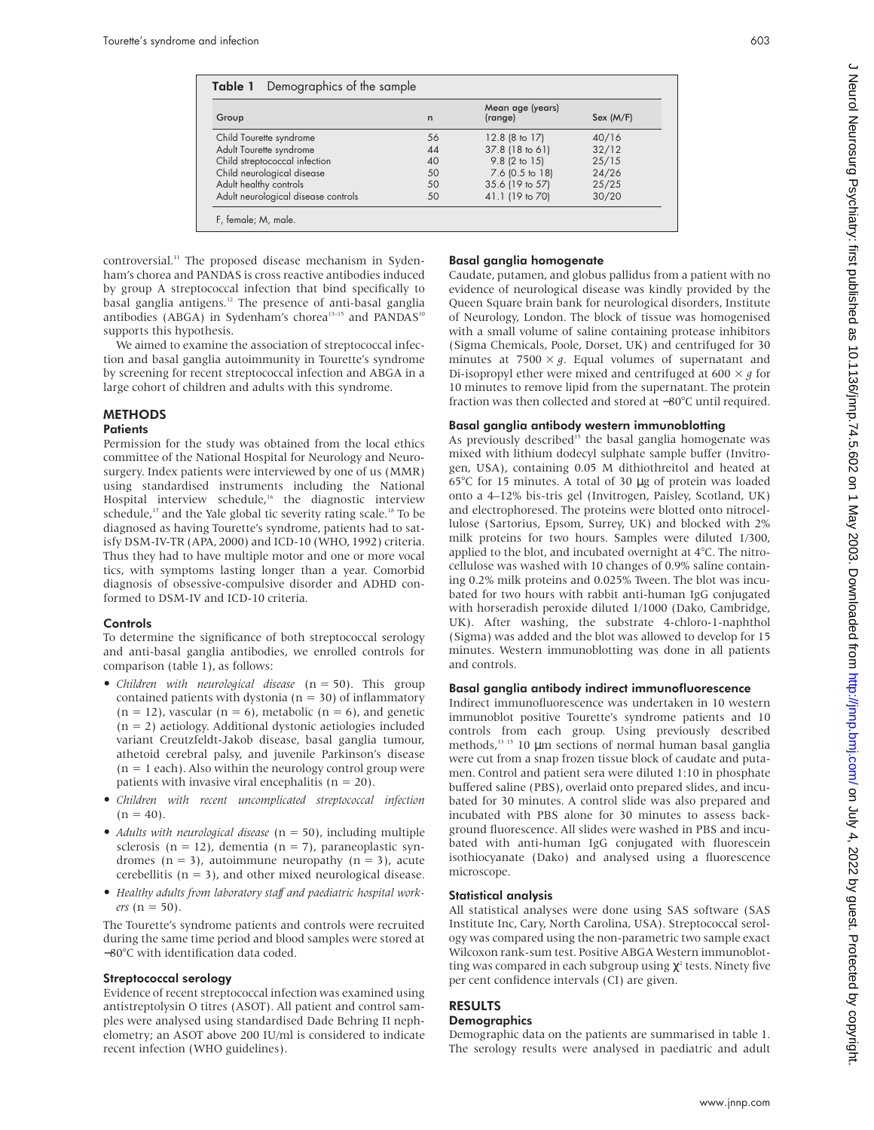| Group                               | n  | Mean age (years)<br>(range) | Sex (M/F) |
|-------------------------------------|----|-----------------------------|-----------|
| Child Tourette syndrome             | 56 | 12.8 (8 to 17)              | 40/16     |
| Adult Tourette syndrome             | 44 | 37.8 (18 to 61)             | 32/12     |
| Child streptococcal infection       | 40 | $9.8$ (2 to 15)             | 25/15     |
| Child neurological disease          | 50 | 7.6 (0.5 to 18)             | 24/26     |
| Adult healthy controls              | 50 | 35.6 (19 to 57)             | 25/25     |
| Adult neurological disease controls | 50 | 41.1 (19 to 70)             | 30/20     |

controversial.<sup>11</sup> The proposed disease mechanism in Sydenham's chorea and PANDAS is cross reactive antibodies induced by group A streptococcal infection that bind specifically to basal ganglia antigens.12 The presence of anti-basal ganglia antibodies (ABGA) in Sydenham's chorea<sup>13-15</sup> and PANDAS<sup>10</sup> supports this hypothesis.

We aimed to examine the association of streptococcal infection and basal ganglia autoimmunity in Tourette's syndrome by screening for recent streptococcal infection and ABGA in a large cohort of children and adults with this syndrome.

#### **METHODS**

#### **Patients**

Permission for the study was obtained from the local ethics committee of the National Hospital for Neurology and Neurosurgery. Index patients were interviewed by one of us (MMR) using standardised instruments including the National Hospital interview schedule,<sup>16</sup> the diagnostic interview schedule, $17$  and the Yale global tic severity rating scale.<sup>18</sup> To be diagnosed as having Tourette's syndrome, patients had to satisfy DSM-IV-TR (APA, 2000) and ICD-10 (WHO, 1992) criteria. Thus they had to have multiple motor and one or more vocal tics, with symptoms lasting longer than a year. Comorbid diagnosis of obsessive-compulsive disorder and ADHD conformed to DSM-IV and ICD-10 criteria.

#### Controls

To determine the significance of both streptococcal serology and anti-basal ganglia antibodies, we enrolled controls for comparison (table 1), as follows:

- *Children with neurological disease* (n = 50). This group contained patients with dystonia ( $n = 30$ ) of inflammatory  $(n = 12)$ , vascular  $(n = 6)$ , metabolic  $(n = 6)$ , and genetic  $(n = 2)$  aetiology. Additional dystonic aetiologies included variant Creutzfeldt-Jakob disease, basal ganglia tumour, athetoid cerebral palsy, and juvenile Parkinson's disease  $(n = 1$  each). Also within the neurology control group were patients with invasive viral encephalitis ( $n = 20$ ).
- *Children with recent uncomplicated streptococcal infection*  $(n = 40)$ .
- *Adults with neurological disease* (n = 50), including multiple sclerosis (n = 12), dementia (n = 7), paraneoplastic syndromes  $(n = 3)$ , autoimmune neuropathy  $(n = 3)$ , acute cerebellitis  $(n = 3)$ , and other mixed neurological disease.
- *Healthy adults from laboratory staff and paediatric hospital workers* ( $n = 50$ ).

The Tourette's syndrome patients and controls were recruited during the same time period and blood samples were stored at −80°C with identification data coded.

#### Streptococcal serology

Evidence of recent streptococcal infection was examined using antistreptolysin O titres (ASOT). All patient and control samples were analysed using standardised Dade Behring II nephelometry; an ASOT above 200 IU/ml is considered to indicate recent infection (WHO guidelines).

#### Basal ganglia homogenate

Caudate, putamen, and globus pallidus from a patient with no evidence of neurological disease was kindly provided by the Queen Square brain bank for neurological disorders, Institute of Neurology, London. The block of tissue was homogenised with a small volume of saline containing protease inhibitors (Sigma Chemicals, Poole, Dorset, UK) and centrifuged for 30 minutes at  $7500 \times g$ . Equal volumes of supernatant and Di-isopropyl ether were mixed and centrifuged at  $600 \times g$  for 10 minutes to remove lipid from the supernatant. The protein fraction was then collected and stored at −80°C until required.

#### Basal ganglia antibody western immunoblotting

As previously described<sup>15</sup> the basal ganglia homogenate was mixed with lithium dodecyl sulphate sample buffer (Invitrogen, USA), containing 0.05 M dithiothreitol and heated at 65°C for 15 minutes. A total of 30 µg of protein was loaded onto a 4–12% bis-tris gel (Invitrogen, Paisley, Scotland, UK) and electrophoresed. The proteins were blotted onto nitrocellulose (Sartorius, Epsom, Surrey, UK) and blocked with 2% milk proteins for two hours. Samples were diluted 1/300, applied to the blot, and incubated overnight at 4°C. The nitrocellulose was washed with 10 changes of 0.9% saline containing 0.2% milk proteins and 0.025% Tween. The blot was incubated for two hours with rabbit anti-human IgG conjugated with horseradish peroxide diluted 1/1000 (Dako, Cambridge, UK). After washing, the substrate 4-chloro-1-naphthol (Sigma) was added and the blot was allowed to develop for 15 minutes. Western immunoblotting was done in all patients and controls.

#### Basal ganglia antibody indirect immunofluorescence

Indirect immunofluorescence was undertaken in 10 western immunoblot positive Tourette's syndrome patients and 10 controls from each group. Using previously described methods,<sup>13 15</sup> 10 µm sections of normal human basal ganglia were cut from a snap frozen tissue block of caudate and putamen. Control and patient sera were diluted 1:10 in phosphate buffered saline (PBS), overlaid onto prepared slides, and incubated for 30 minutes. A control slide was also prepared and incubated with PBS alone for 30 minutes to assess background fluorescence. All slides were washed in PBS and incubated with anti-human IgG conjugated with fluorescein isothiocyanate (Dako) and analysed using a fluorescence microscope.

#### Statistical analysis

All statistical analyses were done using SAS software (SAS Institute Inc, Cary, North Carolina, USA). Streptococcal serology was compared using the non-parametric two sample exact Wilcoxon rank-sum test. Positive ABGA Western immunoblotting was compared in each subgroup using  $\chi^2$  tests. Ninety five per cent confidence intervals (CI) are given.

## RESULTS

### **Demographics**

Demographic data on the patients are summarised in table 1. The serology results were analysed in paediatric and adult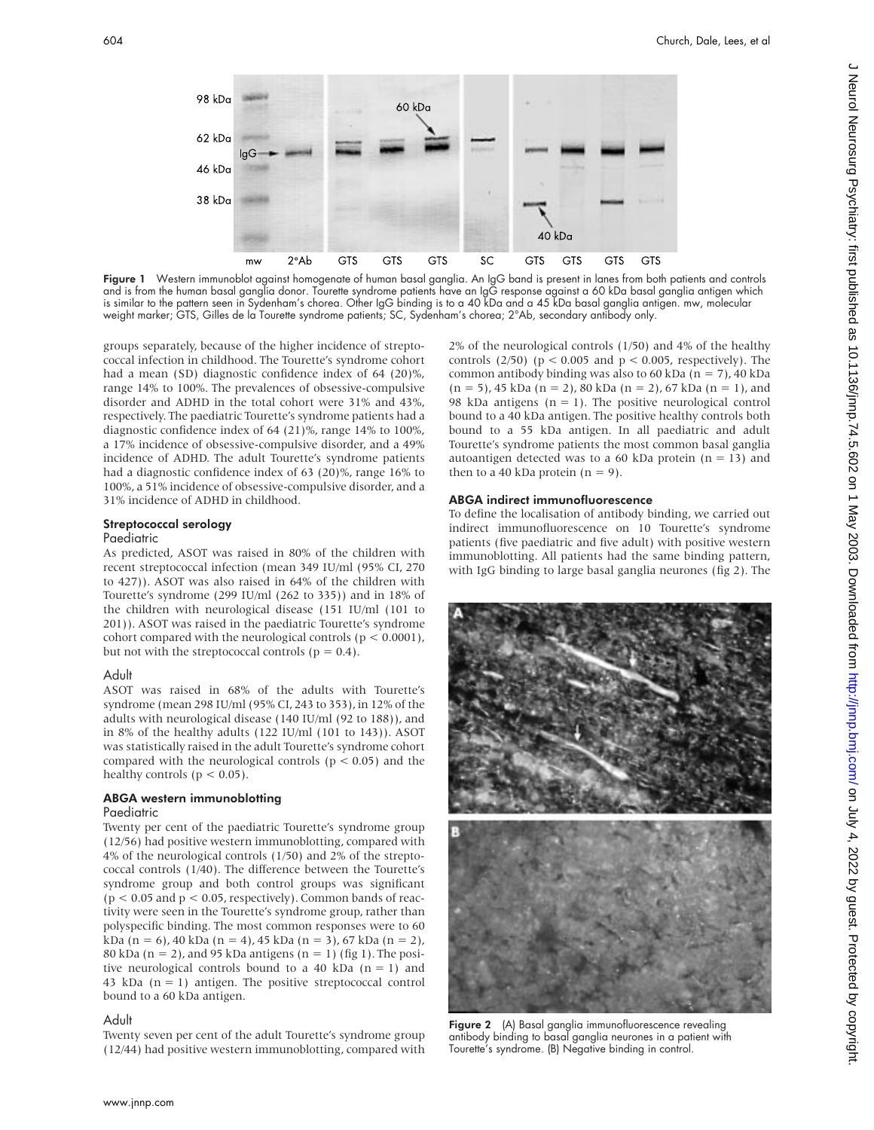

Figure 1 Western immunoblot against homogenate of human basal ganglia. An IgG band is present in lanes from both patients and controls and is from the human basal ganglia donor. Tourette syndrome patients have an IgG response against a 60 kDa basal ganglia antigen which is similar to the pattern seen in Sydenham's chorea. Other IgG binding is to a 40 kDa and a 45 kDa basal ganglia antigen. mw, molecular weight marker; GTS, Gilles de la Tourette syndrome patients; SC, Sydenham's chorea; 2°Ab, secondary antibody only.

groups separately, because of the higher incidence of streptococcal infection in childhood. The Tourette's syndrome cohort had a mean (SD) diagnostic confidence index of 64 (20)%, range 14% to 100%. The prevalences of obsessive-compulsive disorder and ADHD in the total cohort were 31% and 43%, respectively. The paediatric Tourette's syndrome patients had a diagnostic confidence index of 64 (21)%, range 14% to 100%, a 17% incidence of obsessive-compulsive disorder, and a 49% incidence of ADHD. The adult Tourette's syndrome patients had a diagnostic confidence index of 63 (20)%, range 16% to 100%, a 51% incidence of obsessive-compulsive disorder, and a 31% incidence of ADHD in childhood.

#### Streptococcal serology

#### Paediatric

As predicted, ASOT was raised in 80% of the children with recent streptococcal infection (mean 349 IU/ml (95% CI, 270 to 427)). ASOT was also raised in 64% of the children with Tourette's syndrome (299 IU/ml (262 to 335)) and in 18% of the children with neurological disease (151 IU/ml (101 to 201)). ASOT was raised in the paediatric Tourette's syndrome cohort compared with the neurological controls ( $p < 0.0001$ ), but not with the streptococcal controls ( $p = 0.4$ ).

#### Adult

ASOT was raised in 68% of the adults with Tourette's syndrome (mean 298 IU/ml (95% CI, 243 to 353), in 12% of the adults with neurological disease (140 IU/ml (92 to 188)), and in 8% of the healthy adults (122 IU/ml (101 to 143)). ASOT was statistically raised in the adult Tourette's syndrome cohort compared with the neurological controls ( $p < 0.05$ ) and the healthy controls ( $p < 0.05$ ).

#### ABGA western immunoblotting Paediatric

Twenty per cent of the paediatric Tourette's syndrome group (12/56) had positive western immunoblotting, compared with 4% of the neurological controls (1/50) and 2% of the streptococcal controls (1/40). The difference between the Tourette's syndrome group and both control groups was significant  $(p < 0.05$  and  $p < 0.05$ , respectively). Common bands of reactivity were seen in the Tourette's syndrome group, rather than polyspecific binding. The most common responses were to 60 kDa (n = 6), 40 kDa (n = 4), 45 kDa (n = 3), 67 kDa (n = 2), 80 kDa ( $n = 2$ ), and 95 kDa antigens ( $n = 1$ ) (fig 1). The positive neurological controls bound to a 40 kDa  $(n = 1)$  and 43 kDa  $(n = 1)$  antigen. The positive streptococcal control bound to a 60 kDa antigen.

#### Adult

Twenty seven per cent of the adult Tourette's syndrome group (12/44) had positive western immunoblotting, compared with 2% of the neurological controls (1/50) and 4% of the healthy controls (2/50) ( $p < 0.005$  and  $p < 0.005$ , respectively). The common antibody binding was also to 60 kDa ( $n = 7$ ), 40 kDa  $(n = 5)$ , 45 kDa  $(n = 2)$ , 80 kDa  $(n = 2)$ , 67 kDa  $(n = 1)$ , and 98 kDa antigens ( $n = 1$ ). The positive neurological control bound to a 40 kDa antigen. The positive healthy controls both bound to a 55 kDa antigen. In all paediatric and adult Tourette's syndrome patients the most common basal ganglia autoantigen detected was to a 60 kDa protein ( $n = 13$ ) and then to a 40 kDa protein ( $n = 9$ ).

#### ABGA indirect immunofluorescence

To define the localisation of antibody binding, we carried out indirect immunofluorescence on 10 Tourette's syndrome patients (five paediatric and five adult) with positive western immunoblotting. All patients had the same binding pattern, with IgG binding to large basal ganglia neurones (fig 2). The



Figure 2 (A) Basal ganglia immunofluorescence revealing antibody binding to basal ganglia neurones in a patient with Tourette's syndrome. (B) Negative binding in control.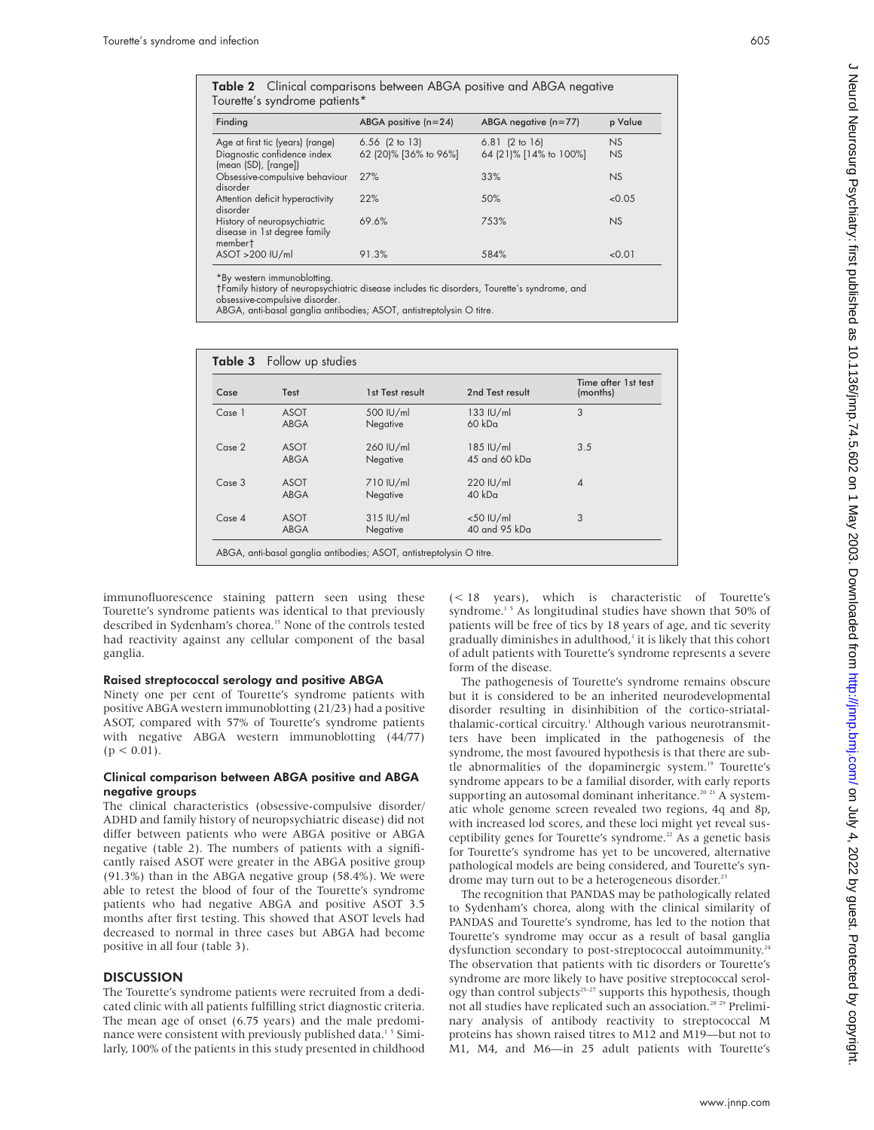Table 2 Clinical comparisons between ABGA positive and ABGA negative Tourette's syndrome patients\* Finding ABGA positive (n=24) ABGA negative (n=77) p Value Age at first tic (years) (range) 6.56 (2 to 13) 6.81 (2 to 16) NS<br>Diagnostic confidence index 62 (20)% [36% to 96%] 64 (21)% [14% to 100%] NS Diagnostic confidence index (mean (SD), [range]) 64 (21)% [14% to 100%] Obsessive-compulsive behaviour disorder 27% 33% NS Attention deficit hyperactivity disorder  $22\%$   $\leq 0.05$ History of neuropsychiatric disease in 1st degree family member† 69.6% 753% NS ASOT >200 IU/ml 91.3% 584% 584% <0.01 \*By western immunoblotting. †Family history of neuropsychiatric disease includes tic disorders, Tourette's syndrome, and

obsessive-compulsive disorder. ABGA, anti-basal ganglia antibodies; ASOT, antistreptolysin O titre.

|        | <b>Table 3</b> Follow up studies |                         |                               |                                 |  |
|--------|----------------------------------|-------------------------|-------------------------------|---------------------------------|--|
| Case   | Test                             | 1st Test result         | 2nd Test result               | Time after 1st test<br>(months) |  |
| Case 1 | <b>ASOT</b><br><b>ABGA</b>       | 500 IU/ml<br>Negative   | $133$ IU/ml<br>$60$ kDa       | 3                               |  |
| Case 2 | ASOT<br><b>ABGA</b>              | 260 IU/ml<br>Negative   | 185 IU/ml<br>45 and 60 kDa    | 3.5                             |  |
| Case 3 | ASOT<br><b>ABGA</b>              | $710$ IU/ml<br>Negative | 220 IU/ml<br>40 kDa           | $\overline{4}$                  |  |
| Case 4 | ASOT<br><b>ABGA</b>              | $315$ IU/ml<br>Negative | $<$ 50 IU/ml<br>40 and 95 kDa | 3                               |  |

immunofluorescence staining pattern seen using these Tourette's syndrome patients was identical to that previously described in Sydenham's chorea.<sup>15</sup> None of the controls tested had reactivity against any cellular component of the basal ganglia.

#### Raised streptococcal serology and positive ABGA

Ninety one per cent of Tourette's syndrome patients with positive ABGA western immunoblotting (21/23) had a positive ASOT, compared with 57% of Tourette's syndrome patients with negative ABGA western immunoblotting (44/77)  $(p < 0.01)$ .

#### Clinical comparison between ABGA positive and ABGA negative groups

The clinical characteristics (obsessive-compulsive disorder/ ADHD and family history of neuropsychiatric disease) did not differ between patients who were ABGA positive or ABGA negative (table 2). The numbers of patients with a significantly raised ASOT were greater in the ABGA positive group (91.3%) than in the ABGA negative group (58.4%). We were able to retest the blood of four of the Tourette's syndrome patients who had negative ABGA and positive ASOT 3.5 months after first testing. This showed that ASOT levels had decreased to normal in three cases but ABGA had become positive in all four (table 3).

#### **DISCUSSION**

The Tourette's syndrome patients were recruited from a dedicated clinic with all patients fulfilling strict diagnostic criteria. The mean age of onset (6.75 years) and the male predominance were consistent with previously published data.<sup>15</sup> Similarly, 100% of the patients in this study presented in childhood

(< 18 years), which is characteristic of Tourette's syndrome.<sup>15</sup> As longitudinal studies have shown that 50% of patients will be free of tics by 18 years of age, and tic severity gradually diminishes in adulthood, $\frac{1}{1}$  it is likely that this cohort of adult patients with Tourette's syndrome represents a severe form of the disease.

The pathogenesis of Tourette's syndrome remains obscure but it is considered to be an inherited neurodevelopmental disorder resulting in disinhibition of the cortico-striatalthalamic-cortical circuitry.<sup>1</sup> Although various neurotransmitters have been implicated in the pathogenesis of the syndrome, the most favoured hypothesis is that there are subtle abnormalities of the dopaminergic system.<sup>19</sup> Tourette's syndrome appears to be a familial disorder, with early reports supporting an autosomal dominant inheritance.<sup>20 21</sup> A systematic whole genome screen revealed two regions, 4q and 8p, with increased lod scores, and these loci might yet reveal susceptibility genes for Tourette's syndrome.<sup>22</sup> As a genetic basis for Tourette's syndrome has yet to be uncovered, alternative pathological models are being considered, and Tourette's syndrome may turn out to be a heterogeneous disorder.<sup>23</sup>

The recognition that PANDAS may be pathologically related to Sydenham's chorea, along with the clinical similarity of PANDAS and Tourette's syndrome, has led to the notion that Tourette's syndrome may occur as a result of basal ganglia dysfunction secondary to post-streptococcal autoimmunity.<sup>24</sup> The observation that patients with tic disorders or Tourette's syndrome are more likely to have positive streptococcal serology than control subjects<sup>25-27</sup> supports this hypothesis, though not all studies have replicated such an association.<sup>28</sup><sup>29</sup> Preliminary analysis of antibody reactivity to streptococcal M proteins has shown raised titres to M12 and M19—but not to M1, M4, and M6—in 25 adult patients with Tourette's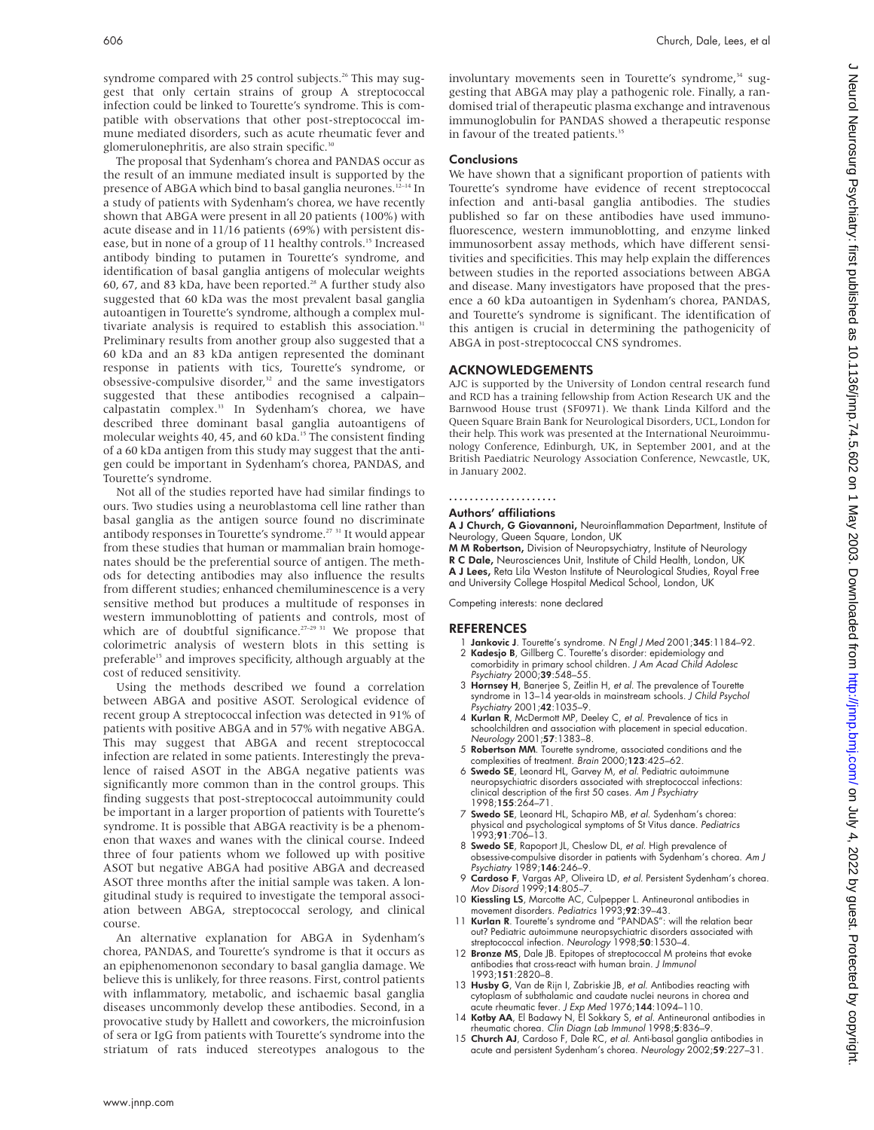syndrome compared with 25 control subjects.<sup>26</sup> This may suggest that only certain strains of group A streptococcal infection could be linked to Tourette's syndrome. This is compatible with observations that other post-streptococcal immune mediated disorders, such as acute rheumatic fever and glomerulonephritis, are also strain specific.<sup>30</sup>

The proposal that Sydenham's chorea and PANDAS occur as the result of an immune mediated insult is supported by the presence of ABGA which bind to basal ganglia neurones.<sup>12-14</sup> In a study of patients with Sydenham's chorea, we have recently shown that ABGA were present in all 20 patients (100%) with acute disease and in 11/16 patients (69%) with persistent disease, but in none of a group of 11 healthy controls.<sup>15</sup> Increased antibody binding to putamen in Tourette's syndrome, and identification of basal ganglia antigens of molecular weights 60, 67, and 83 kDa, have been reported.<sup>28</sup> A further study also suggested that 60 kDa was the most prevalent basal ganglia autoantigen in Tourette's syndrome, although a complex multivariate analysis is required to establish this association.<sup>31</sup> Preliminary results from another group also suggested that a 60 kDa and an 83 kDa antigen represented the dominant response in patients with tics, Tourette's syndrome, or  $obsessive-compulsive disorder<sup>32</sup>$  and the same investigators suggested that these antibodies recognised a calpain– calpastatin complex.33 In Sydenham's chorea, we have described three dominant basal ganglia autoantigens of molecular weights 40, 45, and 60 kDa.<sup>15</sup> The consistent finding of a 60 kDa antigen from this study may suggest that the antigen could be important in Sydenham's chorea, PANDAS, and Tourette's syndrome.

Not all of the studies reported have had similar findings to ours. Two studies using a neuroblastoma cell line rather than basal ganglia as the antigen source found no discriminate antibody responses in Tourette's syndrome.27 31 It would appear from these studies that human or mammalian brain homogenates should be the preferential source of antigen. The methods for detecting antibodies may also influence the results from different studies; enhanced chemiluminescence is a very sensitive method but produces a multitude of responses in western immunoblotting of patients and controls, most of which are of doubtful significance.<sup>27-29 31</sup> We propose that colorimetric analysis of western blots in this setting is preferable<sup>15</sup> and improves specificity, although arguably at the cost of reduced sensitivity.

Using the methods described we found a correlation between ABGA and positive ASOT. Serological evidence of recent group A streptococcal infection was detected in 91% of patients with positive ABGA and in 57% with negative ABGA. This may suggest that ABGA and recent streptococcal infection are related in some patients. Interestingly the prevalence of raised ASOT in the ABGA negative patients was significantly more common than in the control groups. This finding suggests that post-streptococcal autoimmunity could be important in a larger proportion of patients with Tourette's syndrome. It is possible that ABGA reactivity is be a phenomenon that waxes and wanes with the clinical course. Indeed three of four patients whom we followed up with positive ASOT but negative ABGA had positive ABGA and decreased ASOT three months after the initial sample was taken. A longitudinal study is required to investigate the temporal association between ABGA, streptococcal serology, and clinical course.

An alternative explanation for ABGA in Sydenham's chorea, PANDAS, and Tourette's syndrome is that it occurs as an epiphenomenonon secondary to basal ganglia damage. We believe this is unlikely, for three reasons. First, control patients with inflammatory, metabolic, and ischaemic basal ganglia diseases uncommonly develop these antibodies. Second, in a provocative study by Hallett and coworkers, the microinfusion of sera or IgG from patients with Tourette's syndrome into the striatum of rats induced stereotypes analogous to the

involuntary movements seen in Tourette's syndrome,<sup>34</sup> suggesting that ABGA may play a pathogenic role. Finally, a randomised trial of therapeutic plasma exchange and intravenous immunoglobulin for PANDAS showed a therapeutic response in favour of the treated patients.<sup>35</sup>

#### Conclusions

We have shown that a significant proportion of patients with Tourette's syndrome have evidence of recent streptococcal infection and anti-basal ganglia antibodies. The studies published so far on these antibodies have used immunofluorescence, western immunoblotting, and enzyme linked immunosorbent assay methods, which have different sensitivities and specificities. This may help explain the differences between studies in the reported associations between ABGA and disease. Many investigators have proposed that the presence a 60 kDa autoantigen in Sydenham's chorea, PANDAS, and Tourette's syndrome is significant. The identification of this antigen is crucial in determining the pathogenicity of ABGA in post-streptococcal CNS syndromes.

#### ACKNOWLEDGEMENTS

AJC is supported by the University of London central research fund and RCD has a training fellowship from Action Research UK and the Barnwood House trust (SF0971). We thank Linda Kilford and the Queen Square Brain Bank for Neurological Disorders, UCL, London for their help. This work was presented at the International Neuroimmunology Conference, Edinburgh, UK, in September 2001, and at the British Paediatric Neurology Association Conference, Newcastle, UK, in January 2002.

#### .....................

#### Authors' affiliations

A J Church, G Giovannoni, Neuroinflammation Department, Institute of Neurology, Queen Square, London, UK

M M Robertson, Division of Neuropsychiatry, Institute of Neurology R C Dale, Neurosciences Unit, Institute of Child Health, London, UK A J Lees, Reta Lila Weston Institute of Neurological Studies, Royal Free and University College Hospital Medical School, London, UK

Competing interests: none declared

#### REFERENCES

- Jankovic J. Tourette's syndrome. N Engl J Med 2001;345:1184-92.
- 2 Kadesjo B, Gillberg C. Tourette's disorder: epidemiology and comorbidity in primary school children. J Am Acad Child Adolesc Psychiatry 2000;39:548–55.
- 3 Hornsey H, Banerjee S, Zeitlin H, et al. The prevalence of Tourette syndrome in 13-14 year-olds in mainstream schools. J Child Psychol Psychiatry 2001;42:1035–9.
- 4 Kurlan R, McDermott MP, Deeley C, et al. Prevalence of tics in schoolchildren and association with placement in special education. Neurology 2001;57:1383-8.
- 5 Robertson MM. Tourette syndrome, associated conditions and the complexities of treatment. Brain 2000;123:425–62.
- 6 Swedo SE, Leonard HL, Garvey M, et al. Pediatric autoimmune neuropsychiatric disorders associated with streptococcal infections: clinical description of the first 50 cases. Am J Psychiatry 1998;155:264–71.
- Swedo SE, Leonard HL, Schapiro MB, et al. Sydenham's chorea: physical and psychological symptoms of St Vitus dance. Pediatrics 1993;91:706–13.
- 8 Swedo SE, Rapoport JL, Cheslow DL, et al. High prevalence of obsessive-compulsive disorder in patients with Sydenham's chorea. Am J Psychiatry 1989;146:246-9.
- 9 Cardoso F, Vargas AP, Oliveira LD, et al. Persistent Sydenham's chorea. Mov Disord 1999;14:805–7.
- 10 Kiessling LS, Marcotte AC, Culpepper L. Antineuronal antibodies in movement disorders. *Pediatrics* 1993;**92**:39–43.<br>11 **Kurlan R**. Tourette's syndrome and "PANDAS": will the relation bear
- out? Pediatric autoimmune neuropsychiatric disorders associated with<br>streptococcal infection. Neurology 1998;**50**:1530–4.<br>12 **Bronze MS**, Dale JB. Epitopes of streptococcal M proteins that evoke
- antibodies that cross-react with human brain. J Immunol 1993;151:2820–8.
- 13 Husby G, Van de Rijn I, Zabriskie JB, et al. Antibodies reacting with cytoplasm of subthalamic and caudate nuclei neurons in chorea and acute rheumatic fever. J Exp Med 1976;144:1094–110.
- 14 Kotby AA, El Badawy N, El Sokkary S, et al. Antineuronal antibodies in rheumatic chorea. Clin Diagn Lab Immunol 1998;5:836–9.
- 15 Church AJ, Cardoso F, Dale RC, et al. Anti-basal ganglia antibodies in acute and persistent Sydenham's chorea. Neurology 2002;59:227-31.